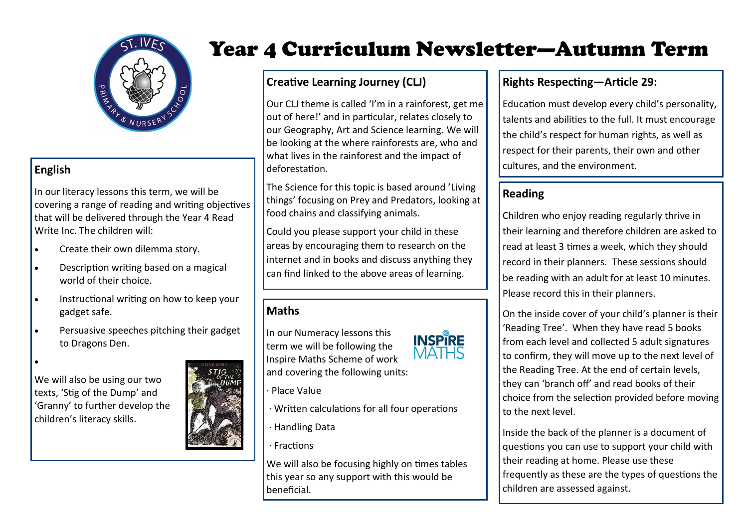

### **English**

In our literacy lessons this term, we will be covering a range of reading and writing objectives that will be delivered through the Year 4 Read Write Inc. The children will:

- Create their own dilemma story.
- Description writing based on a magical world of their choice
- Instructional writing on how to keep your gadget safe.
- Persuasive speeches pitching their gadget to Dragons Den.



We will also be using our two texts, 'Stig of the Dump' and 'Granny' to further develop the children's literacy skills.



# Year 4 Curriculum Newsletter—Autumn Term

# **Creative Learning Journey (CLJ)**

Our CLJ theme is called 'I'm in a rainforest, get me out of here!' and in particular, relates closely to our Geography, Art and Science learning. We will be looking at the where rainforests are, who and what lives in the rainforest and the impact of deforestation.

The Science for this topic is based around 'Living things' focusing on Prey and Predators, looking at food chains and classifying animals.

Could you please support your child in these areas by encouraging them to research on the internet and in books and discuss anything they can find linked to the above areas of learning.

## **Maths**

In our Numeracy lessons this term we will be following the Inspire Maths Scheme of work and covering the following units:



- · Place Value
- · Written calculations for all four operations
- · Handling Data
- · Fractions

We will also be focusing highly on times tables this year so any support with this would be beneficial.

# **Rights Respecting—Article 29:**

Education must develop every child's personality, talents and abilities to the full. It must encourage the child's respect for human rights, as well as respect for their parents, their own and other cultures, and the environment.

# **Reading**

Children who enjoy reading regularly thrive in their learning and therefore children are asked to read at least 3 times a week, which they should record in their planners. These sessions should be reading with an adult for at least 10 minutes. Please record this in their planners.

On the inside cover of your child's planner is their 'Reading Tree'. When they have read 5 books from each level and collected 5 adult signatures to confirm, they will move up to the next level of the Reading Tree. At the end of certain levels, they can 'branch off' and read books of their choice from the selection provided before moving to the next level.

Inside the back of the planner is a document of questions you can use to support your child with their reading at home. Please use these frequently as these are the types of questions the children are assessed against.